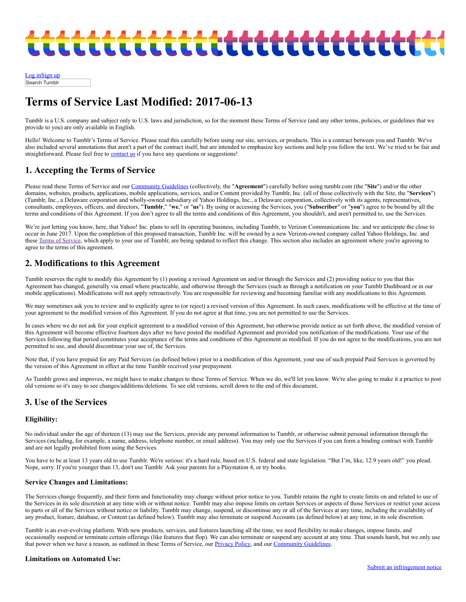# :ttttttttttttttttttttttttt

[Log](https://www.tumblr.com/login) i[nSign](https://www.tumblr.com/register) up Search Tumblr

## Terms of Service Last Modified: 2017-06-13

Tumblr is a U.S. company and subject only to U.S. laws and jurisdiction, so for the moment these Terms of Service (and any other terms, policies, or guidelines that we provide to you) are only available in English.

Hello! Welcome to Tumblr's Terms of Service. Please read this carefully before using our site, services, or products. This is a contract between you and Tumblr. We've also included several annotations that aren't a part of the contract itself, but are intended to emphasize key sections and help you follow the text. We've tried to be fair and straightforward. Please feel free to **[contact](https://www.tumblr.com/support) us** if you have any questions or suggestions!

## 1. Accepting the Terms of Service

Please read these Terms of Service and our [Community](https://www.tumblr.com/policy/community) Guidelines (collectively, the "Agreement") carefully before using tumblr.com (the "Site") and/or the other domains, websites, products, applications, mobile applications, services, and/or Content provided by Tumblr, Inc. (all of those collectively with the Site, the "Services") (Tumblr, Inc., a Delaware corporation and wholly-owned subsidiary of Yahoo Holdings, Inc., a Delaware corporation, collectively with its agents, representatives, consultants, employees, officers, and directors, "Tumblr," "we," or "us"). By using or accessing the Services, you ("Subscriber" or "you") agree to be bound by all the terms and conditions of this Agreement. If you don't agree to all the terms and conditions of this Agreement, you shouldn't, and aren't permitted to, use the Services.

We're just letting you know, here, that Yahoo! Inc. plans to sell its operating business, including Tumblr, to Verizon Communications Inc. and we anticipate the close to occur in June 2017. Upon the completion of this proposed transaction, Tumblr Inc. will be owned by a new Verizon-owned company called Yahoo Holdings, Inc. and these Terms of [Service](https://www.tumblr.com/policy/en/terms-of-service), which apply to your use of Tumblr, are being updated to reflect this change. This section also includes an agreement where you're agreeing to agree to the terms of this agreement.

## 2. Modifications to this Agreement

Tumblr reserves the right to modify this Agreement by (1) posting a revised Agreement on and/or through the Services and (2) providing notice to you that this Agreement has changed, generally via email where practicable, and otherwise through the Services (such as through a notification on your Tumblr Dashboard or in our mobile applications). Modifications will not apply retroactively. You are responsible for reviewing and becoming familiar with any modifications to this Agreement.

We may sometimes ask you to review and to explicitly agree to (or reject) a revised version of this Agreement. In such cases, modifications will be effective at the time of your agreement to the modified version of this Agreement. If you do not agree at that time, you are not permitted to use the Services.

In cases where we do not ask for your explicit agreement to a modified version of this Agreement, but otherwise provide notice as set forth above, the modified version of this Agreement will become effective fourteen days after we have posted the modified Agreement and provided you notification of the modifications. Your use of the Services following that period constitutes your acceptance of the terms and conditions of this Agreement as modified. If you do not agree to the modifications, you are not permitted to use, and should discontinue your use of, the Services.

Note that, if you have prepaid for any Paid Services (as defined below) prior to a modification of this Agreement, your use of such prepaid Paid Services is governed by the version of this Agreement in effect at the time Tumblr received your prepayment.

As Tumblr grows and improves, we might have to make changes to these Terms of Service. When we do, we'll let you know. We're also going to make it a practice to post old versions so it's easy to see changes/additions/deletions. To see old versions, scroll down to the end of this document.

## 3. Use of the Services

#### Eligibility:

No individual under the age of thirteen (13) may use the Services, provide any personal information to Tumblr, or otherwise submit personal information through the Services (including, for example, a name, address, telephone number, or email address). You may only use the Services if you can form a binding contract with Tumblr and are not legally prohibited from using the Services.

You have to be at least 13 years old to use Tumblr. We're serious: it's a hard rule, based on U.S. federal and state legislation. "But I'm, like, 12.9 years old!" you plead. Nope, sorry. If you're younger than 13, don't use Tumblr. Ask your parents for a Playstation 4, or try books.

#### Service Changes and Limitations:

The Services change frequently, and their form and functionality may change without prior notice to you. Tumblr retains the right to create limits on and related to use of the Services in its sole discretion at any time with or without notice. Tumblr may also impose limits on certain Services or aspects of those Services or restrict your access to parts or all of the Services without notice or liability. Tumblr may change, suspend, or discontinue any or all of the Services at any time, including the availability of any product, feature, database, or Content (as defined below). Tumblr may also terminate or suspend Accounts (as defined below) at any time, in its sole discretion.

Tumblr is an ever-evolving platform. With new products, services, and features launching all the time, we need flexibility to make changes, impose limits, and occasionally suspend or terminate certain offerings (like features that flop). We can also terminate or suspend any account at any time. That sounds harsh, but we only use that power when we have a reason, as outlined in these Terms of Service, our *[Privacy](https://www.tumblr.com/policy/privacy) Policy*, and our *[Community](https://www.tumblr.com/policy/community) Guidelines*.

#### Limitations on Automated Use: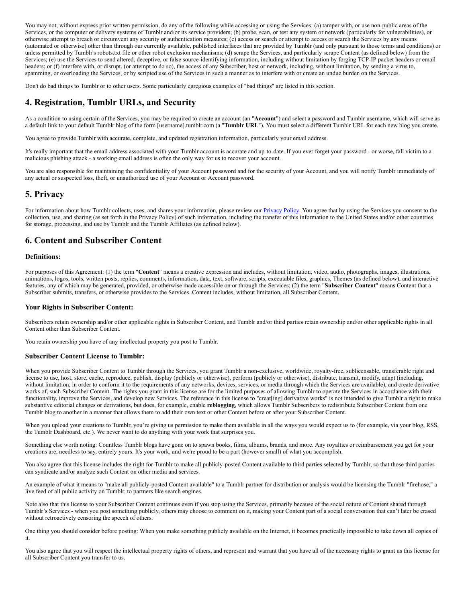You may not, without express prior written permission, do any of the following while accessing or using the Services: (a) tamper with, or use non-public areas of the Services, or the computer or delivery systems of Tumblr and/or its service providers; (b) probe, scan, or test any system or network (particularly for vulnerabilities), or otherwise attempt to breach or circumvent any security or authentication measures; (c) access or search or attempt to access or search the Services by any means (automated or otherwise) other than through our currently available, published interfaces that are provided by Tumblr (and only pursuant to those terms and conditions) or unless permitted by Tumblr's robots.txt file or other robot exclusion mechanisms; (d) scrape the Services, and particularly scrape Content (as defined below) from the Services; (e) use the Services to send altered, deceptive, or false source-identifying information, including without limitation by forging TCP-IP packet headers or email headers; or (f) interfere with, or disrupt, (or attempt to do so), the access of any Subscriber, host or network, including, without limitation, by sending a virus to, spamming, or overloading the Services, or by scripted use of the Services in such a manner as to interfere with or create an undue burden on the Services.

Don't do bad things to Tumblr or to other users. Some particularly egregious examples of "bad things" are listed in this section.

## 4. Registration, Tumblr URLs, and Security

As a condition to using certain of the Services, you may be required to create an account (an "Account") and select a password and Tumblr username, which will serve as a default link to your default Tumblr blog of the form [username].tumblr.com (a "Tumblr URL"). You must select a different Tumblr URL for each new blog you create.

You agree to provide Tumblr with accurate, complete, and updated registration information, particularly your email address.

It's really important that the email address associated with your Tumblr account is accurate and up-to-date. If you ever forget your password - or worse, fall victim to a malicious phishing attack - a working email address is often the only way for us to recover your account.

You are also responsible for maintaining the confidentiality of your Account password and for the security of your Account, and you will notify Tumblr immediately of any actual or suspected loss, theft, or unauthorized use of your Account or Account password.

## 5. Privacy

For information about how Tumblr collects, uses, and shares your information, please review our **[Privacy](https://www.tumblr.com/policy/privacy) Policy**. You agree that by using the Services you consent to the collection, use, and sharing (as set forth in the Privacy Policy) of such information, including the transfer of this information to the United States and/or other countries for storage, processing, and use by Tumblr and the Tumblr Affiliates (as defined below).

#### 6. Content and Subscriber Content

#### Definitions:

For purposes of this Agreement: (1) the term "Content" means a creative expression and includes, without limitation, video, audio, photographs, images, illustrations, animations, logos, tools, written posts, replies, comments, information, data, text, software, scripts, executable files, graphics, Themes (as defined below), and interactive features, any of which may be generated, provided, or otherwise made accessible on or through the Services; (2) the term "Subscriber Content" means Content that a Subscriber submits, transfers, or otherwise provides to the Services. Content includes, without limitation, all Subscriber Content.

#### Your Rights in Subscriber Content:

Subscribers retain ownership and/or other applicable rights in Subscriber Content, and Tumblr and/or third parties retain ownership and/or other applicable rights in all Content other than Subscriber Content.

You retain ownership you have of any intellectual property you post to Tumblr.

#### Subscriber Content License to Tumblr:

When you provide Subscriber Content to Tumblr through the Services, you grant Tumblr a non-exclusive, worldwide, royalty-free, sublicensable, transferable right and license to use, host, store, cache, reproduce, publish, display (publicly or otherwise), perform (publicly or otherwise), distribute, transmit, modify, adapt (including, without limitation, in order to conform it to the requirements of any networks, devices, services, or media through which the Services are available), and create derivative works of, such Subscriber Content. The rights you grant in this license are for the limited purposes of allowing Tumblr to operate the Services in accordance with their functionality, improve the Services, and develop new Services. The reference in this license to "creat[ing] derivative works" is not intended to give Tumblr a right to make substantive editorial changes or derivations, but does, for example, enable reblogging, which allows Tumblr Subscribers to redistribute Subscriber Content from one Tumblr blog to another in a manner that allows them to add their own text or other Content before or after your Subscriber Content.

When you upload your creations to Tumblr, you're giving us permission to make them available in all the ways you would expect us to (for example, via your blog, RSS, the Tumblr Dashboard, etc.). We never want to do anything with your work that surprises you.

Something else worth noting: Countless Tumblr blogs have gone on to spawn books, films, albums, brands, and more. Any royalties or reimbursement you get for your creations are, needless to say, entirely yours. It's your work, and we're proud to be a part (however small) of what you accomplish.

You also agree that this license includes the right for Tumblr to make all publicly-posted Content available to third parties selected by Tumblr, so that those third parties can syndicate and/or analyze such Content on other media and services.

An example of what it means to "make all publicly-posted Content available" to a Tumblr partner for distribution or analysis would be licensing the Tumblr "firehose," a live feed of all public activity on Tumblr, to partners like search engines.

Note also that this license to your Subscriber Content continues even if you stop using the Services, primarily because of the social nature of Content shared through Tumblr's Services - when you post something publicly, others may choose to comment on it, making your Content part of a social conversation that can't later be erased without retroactively censoring the speech of others.

One thing you should consider before posting: When you make something publicly available on the Internet, it becomes practically impossible to take down all copies of it.

You also agree that you will respect the intellectual property rights of others, and represent and warrant that you have all of the necessary rights to grant us this license for all Subscriber Content you transfer to us.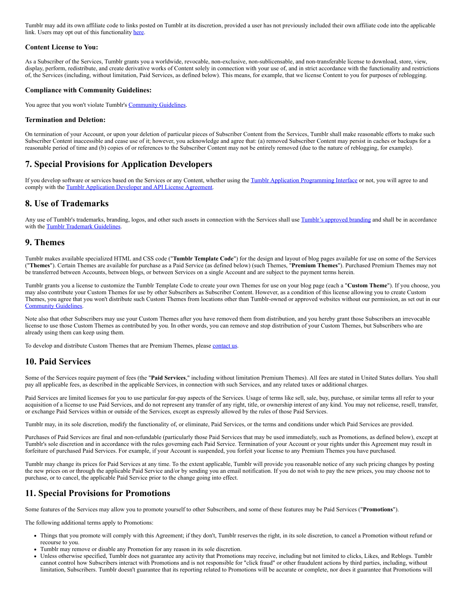Tumblr may add its own affiliate code to links posted on Tumblr at its discretion, provided a user has not previously included their own affiliate code into the applicable link. Users may opt out of this functionality [here](https://www.tumblr.com/settings/blog).

#### Content License to You:

As a Subscriber of the Services, Tumblr grants you a worldwide, revocable, non-exclusive, non-sublicensable, and non-transferable license to download, store, view, display, perform, redistribute, and create derivative works of Content solely in connection with your use of, and in strict accordance with the functionality and restrictions of, the Services (including, without limitation, Paid Services, as defined below). This means, for example, that we license Content to you for purposes of reblogging.

#### Compliance with Community Guidelines:

You agree that you won't violate Tumblr's [Community](https://www.tumblr.com/policy/community) Guidelines.

#### Termination and Deletion:

On termination of your Account, or upon your deletion of particular pieces of Subscriber Content from the Services, Tumblr shall make reasonable efforts to make such Subscriber Content inaccessible and cease use of it; however, you acknowledge and agree that: (a) removed Subscriber Content may persist in caches or backups for a reasonable period of time and (b) copies of or references to the Subscriber Content may not be entirely removed (due to the nature of reblogging, for example).

#### 7. Special Provisions for Application Developers

If you develop software or services based on the Services or any Content, whether using the Tumblr Application [Programming](http://www.tumblr.com/developers) Interface or not, you will agree to and comply with the Tumblr [Application](https://www.tumblr.com/docs/api_agreement) Developer and API License Agreement.

#### 8. Use of Trademarks

Any use of Tumblr's trademarks, branding, logos, and other such assets in connection with the Services shall use Tumblr's [approved](http://www.tumblr.com/logo) branding and shall be in accordance with the **Tumblr [Trademark](http://www.tumblr.com/docs/trademark_guidelines) Guidelines**.

#### 9. Themes

Tumblr makes available specialized HTML and CSS code ("Tumblr Template Code") for the design and layout of blog pages available for use on some of the Services ("Themes"). Certain Themes are available for purchase as a Paid Service (as defined below) (such Themes, "Premium Themes"). Purchased Premium Themes may not be transferred between Accounts, between blogs, or between Services on a single Account and are subject to the payment terms herein.

Tumblr grants you a license to customize the Tumblr Template Code to create your own Themes for use on your blog page (each a "Custom Theme"). If you choose, you may also contribute your Custom Themes for use by other Subscribers as Subscriber Content. However, as a condition of this license allowing you to create Custom Themes, you agree that you won't distribute such Custom Themes from locations other than Tumblr-owned or approved websites without our permission, as set out in our [Community](https://www.tumblr.com/policy/community) Guidelines.

Note also that other Subscribers may use your Custom Themes after you have removed them from distribution, and you hereby grant those Subscribers an irrevocable license to use those Custom Themes as contributed by you. In other words, you can remove and stop distribution of your Custom Themes, but Subscribers who are already using them can keep using them.

To develop and distribute Custom Themes that are Premium Themes, please [contact](https://www.tumblr.com/support) us.

#### 10. Paid Services

Some of the Services require payment of fees (the "Paid Services," including without limitation Premium Themes). All fees are stated in United States dollars. You shall pay all applicable fees, as described in the applicable Services, in connection with such Services, and any related taxes or additional charges.

Paid Services are limited licenses for you to use particular for-pay aspects of the Services. Usage of terms like sell, sale, buy, purchase, or similar terms all refer to your acquisition of a license to use Paid Services, and do not represent any transfer of any right, title, or ownership interest of any kind. You may not relicense, resell, transfer, or exchange Paid Services within or outside of the Services, except as expressly allowed by the rules of those Paid Services.

Tumblr may, in its sole discretion, modify the functionality of, or eliminate, Paid Services, or the terms and conditions under which Paid Services are provided.

Purchases of Paid Services are final and non-refundable (particularly those Paid Services that may be used immediately, such as Promotions, as defined below), except at Tumblr's sole discretion and in accordance with the rules governing each Paid Service. Termination of your Account or your rights under this Agreement may result in forfeiture of purchased Paid Services. For example, if your Account is suspended, you forfeit your license to any Premium Themes you have purchased.

Tumblr may change its prices for Paid Services at any time. To the extent applicable, Tumblr will provide you reasonable notice of any such pricing changes by posting the new prices on or through the applicable Paid Service and/or by sending you an email notification. If you do not wish to pay the new prices, you may choose not to purchase, or to cancel, the applicable Paid Service prior to the change going into effect.

## 11. Special Provisions for Promotions

Some features of the Services may allow you to promote yourself to other Subscribers, and some of these features may be Paid Services ("Promotions").

The following additional terms apply to Promotions:

- Things that you promote will comply with this Agreement; if they don't, Tumblr reserves the right, in its sole discretion, to cancel a Promotion without refund or recourse to you.
- Tumblr may remove or disable any Promotion for any reason in its sole discretion.
- Unless otherwise specified, Tumblr does not guarantee any activity that Promotions may receive, including but not limited to clicks, Likes, and Reblogs. Tumblr cannot control how Subscribers interact with Promotions and is not responsible for "click fraud" or other fraudulent actions by third parties, including, without limitation, Subscribers. Tumblr doesn't guarantee that its reporting related to Promotions will be accurate or complete, nor does it guarantee that Promotions will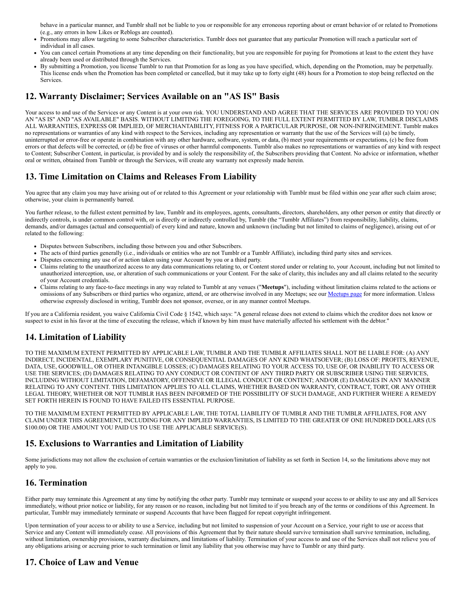behave in a particular manner, and Tumblr shall not be liable to you or responsible for any erroneous reporting about or errant behavior of or related to Promotions (e.g., any errors in how Likes or Reblogs are counted).

- Promotions may allow targeting to some Subscriber characteristics. Tumblr does not guarantee that any particular Promotion will reach a particular sort of  $\bullet$ individual in all cases.
- You can cancel certain Promotions at any time depending on their functionality, but you are responsible for paying for Promotions at least to the extent they have already been used or distributed through the Services.
- By submitting a Promotion, you license Tumblr to run that Promotion for as long as you have specified, which, depending on the Promotion, may be perpetually. This license ends when the Promotion has been completed or cancelled, but it may take up to forty eight (48) hours for a Promotion to stop being reflected on the Services.

## 12. Warranty Disclaimer; Services Available on an "AS IS" Basis

Your access to and use of the Services or any Content is at your own risk. YOU UNDERSTAND AND AGREE THAT THE SERVICES ARE PROVIDED TO YOU ON AN "AS IS" AND "AS AVAILABLE" BASIS. WITHOUT LIMITING THE FOREGOING, TO THE FULL EXTENT PERMITTED BY LAW, TUMBLR DISCLAIMS ALL WARRANTIES, EXPRESS OR IMPLIED, OF MERCHANTABILITY, FITNESS FOR A PARTICULAR PURPOSE, OR NON-INFRINGEMENT. Tumblr makes no representations or warranties of any kind with respect to the Services, including any representation or warranty that the use of the Services will (a) be timely, uninterrupted or error-free or operate in combination with any other hardware, software, system, or data, (b) meet your requirements or expectations, (c) be free from errors or that defects will be corrected, or (d) be free of viruses or other harmful components. Tumblr also makes no representations or warranties of any kind with respect to Content; Subscriber Content, in particular, is provided by and is solely the responsibility of, the Subscribers providing that Content. No advice or information, whether oral or written, obtained from Tumblr or through the Services, will create any warranty not expressly made herein.

## 13. Time Limitation on Claims and Releases From Liability

You agree that any claim you may have arising out of or related to this Agreement or your relationship with Tumblr must be filed within one year after such claim arose; otherwise, your claim is permanently barred.

You further release, to the fullest extent permitted by law, Tumblr and its employees, agents, consultants, directors, shareholders, any other person or entity that directly or indirectly controls, is under common control with, or is directly or indirectly controlled by, Tumblr (the "Tumblr Affiliates") from responsibility, liability, claims, demands, and/or damages (actual and consequential) of every kind and nature, known and unknown (including but not limited to claims of negligence), arising out of or related to the following:

- Disputes between Subscribers, including those between you and other Subscribers.
- The acts of third parties generally (i.e., individuals or entities who are not Tumblr or a Tumblr Affiliate), including third party sites and services.
- Disputes concerning any use of or action taken using your Account by you or a third party.
- Claims relating to the unauthorized access to any data communications relating to, or Content stored under or relating to, your Account, including but not limited to unauthorized interception, use, or alteration of such communications or your Content. For the sake of clarity, this includes any and all claims related to the security of your Account credentials.
- Claims relating to any face-to-face meetings in any way related to Tumblr at any venues ("Meetups"), including without limitation claims related to the actions or omissions of any Subscribers or third parties who organize, attend, or are otherwise involved in any [Meetups](https://www.tumblr.com/meetups); see our **Meetups page** for more information. Unless otherwise expressly disclosed in writing, Tumblr does not sponsor, oversee, or in any manner control Meetups.

If you are a California resident, you waive California Civil Code § 1542, which says: "A general release does not extend to claims which the creditor does not know or suspect to exist in his favor at the time of executing the release, which if known by him must have materially affected his settlement with the debtor."

## 14. Limitation of Liability

TO THE MAXIMUM EXTENT PERMITTED BY APPLICABLE LAW, TUMBLR AND THE TUMBLR AFFILIATES SHALL NOT BE LIABLE FOR: (A) ANY INDIRECT, INCIDENTAL, EXEMPLARY PUNITIVE, OR CONSEQUENTIAL DAMAGES OF ANY KIND WHATSOEVER; (B) LOSS OF: PROFITS, REVENUE, DATA, USE, GOODWILL, OR OTHER INTANGIBLE LOSSES; (C) DAMAGES RELATING TO YOUR ACCESS TO, USE OF, OR INABILITY TO ACCESS OR USE THE SERVICES; (D) DAMAGES RELATING TO ANY CONDUCT OR CONTENT OF ANY THIRD PARTY OR SUBSCRIBER USING THE SERVICES, INCLUDING WITHOUT LIMITATION, DEFAMATORY, OFFENSIVE OR ILLEGAL CONDUCT OR CONTENT; AND/OR (E) DAMAGES IN ANY MANNER RELATING TO ANY CONTENT. THIS LIMITATION APPLIES TO ALL CLAIMS, WHETHER BASED ON WARRANTY, CONTRACT, TORT, OR ANY OTHER LEGAL THEORY, WHETHER OR NOT TUMBLR HAS BEEN INFORMED OF THE POSSIBILITY OF SUCH DAMAGE, AND FURTHER WHERE A REMEDY SET FORTH HEREIN IS FOUND TO HAVE FAILED ITS ESSENTIAL PURPOSE.

TO THE MAXIMUM EXTENT PERMITTED BY APPLICABLE LAW, THE TOTAL LIABILITY OF TUMBLR AND THE TUMBLR AFFILIATES, FOR ANY CLAIM UNDER THIS AGREEMENT, INCLUDING FOR ANY IMPLIED WARRANTIES, IS LIMITED TO THE GREATER OF ONE HUNDRED DOLLARS (US \$100.00) OR THE AMOUNT YOU PAID US TO USE THE APPLICABLE SERVICE(S).

## 15. Exclusions to Warranties and Limitation of Liability

Some jurisdictions may not allow the exclusion of certain warranties or the exclusion/limitation of liability as set forth in Section 14, so the limitations above may not apply to you.

## 16. Termination

Either party may terminate this Agreement at any time by notifying the other party. Tumblr may terminate or suspend your access to or ability to use any and all Services immediately, without prior notice or liability, for any reason or no reason, including but not limited to if you breach any of the terms or conditions of this Agreement. In particular, Tumblr may immediately terminate or suspend Accounts that have been flagged for repeat copyright infringement.

Upon termination of your access to or ability to use a Service, including but not limited to suspension of your Account on a Service, your right to use or access that Service and any Content will immediately cease. All provisions of this Agreement that by their nature should survive termination shall survive termination, including, without limitation, ownership provisions, warranty disclaimers, and limitations of liability. Termination of your access to and use of the Services shall not relieve you of any obligations arising or accruing prior to such termination or limit any liability that you otherwise may have to Tumblr or any third party.

## 17. Choice of Law and Venue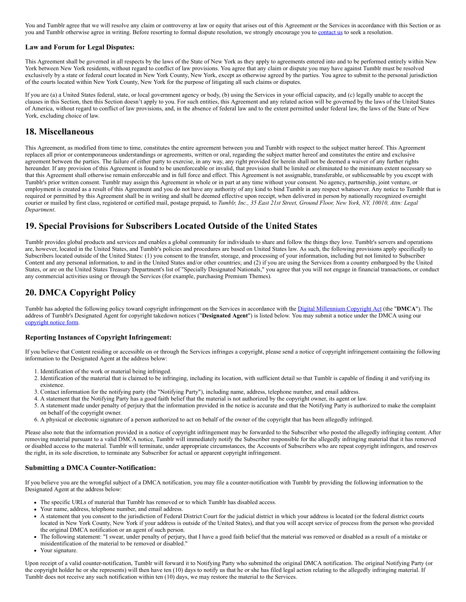You and Tumblr agree that we will resolve any claim or controversy at law or equity that arises out of this Agreement or the Services in accordance with this Section or as you and Tumblr otherwise agree in writing. Before resorting to formal dispute resolution, we strongly encourage you to [contact](https://www.tumblr.com/support) us to seek a resolution.

#### Law and Forum for Legal Disputes:

This Agreement shall be governed in all respects by the laws of the State of New York as they apply to agreements entered into and to be performed entirely within New York between New York residents, without regard to conflict of law provisions. You agree that any claim or dispute you may have against Tumblr must be resolved exclusively by a state or federal court located in New York County, New York, except as otherwise agreed by the parties. You agree to submit to the personal jurisdiction of the courts located within New York County, New York for the purpose of litigating all such claims or disputes.

If you are (a) a United States federal, state, or local government agency or body, (b) using the Services in your official capacity, and (c) legally unable to accept the clauses in this Section, then this Section doesn't apply to you. For such entities, this Agreement and any related action will be governed by the laws of the United States of America, without regard to conflict of law provisions, and, in the absence of federal law and to the extent permitted under federal law, the laws of the State of New York, excluding choice of law.

#### 18. Miscellaneous

This Agreement, as modified from time to time, constitutes the entire agreement between you and Tumblr with respect to the subject matter hereof. This Agreement replaces all prior or contemporaneous understandings or agreements, written or oral, regarding the subject matter hereof and constitutes the entire and exclusive agreement between the parties. The failure of either party to exercise, in any way, any right provided for herein shall not be deemed a waiver of any further rights hereunder. If any provision of this Agreement is found to be unenforceable or invalid, that provision shall be limited or eliminated to the minimum extent necessary so that this Agreement shall otherwise remain enforceable and in full force and effect. This Agreement is not assignable, transferable, or sublicensable by you except with Tumblr's prior written consent. Tumblr may assign this Agreement in whole or in part at any time without your consent. No agency, partnership, joint venture, or employment is created as a result of this Agreement and you do not have any authority of any kind to bind Tumblr in any respect whatsoever. Any notice to Tumblr that is required or permitted by this Agreement shall be in writing and shall be deemed effective upon receipt, when delivered in person by nationally recognized overnight courier or mailed by first class, registered or certified mail, postage prepaid, to Tumblr, Inc., 35 East 21st Street, Ground Floor, New York, NY, 10010, Attn: Legal *Department*.

## 19. Special Provisions for Subscribers Located Outside of the United States

Tumblr provides global products and services and enables a global community for individuals to share and follow the things they love. Tumblr's servers and operations are, however, located in the United States, and Tumblr's policies and procedures are based on United States law. As such, the following provisions apply specifically to Subscribers located outside of the United States: (1) you consent to the transfer, storage, and processing of your information, including but not limited to Subscriber Content and any personal information, to and in the United States and/or other countries; and (2) if you are using the Services from a country embargoed by the United States, or are on the United States Treasury Department's list of "Specially Designated Nationals," you agree that you will not engage in financial transactions, or conduct any commercial activities using or through the Services (for example, purchasing Premium Themes).

## 20. DMCA Copyright Policy

Tumblr has adopted the following policy toward copyright infringement on the Services in accordance with the Digital [Millennium](http://www.loc.gov/copyright/legislation/dmca.pdf) Copyright Act (the "DMCA"). The address of Tumblr's Designated Agent for copyright takedown notices ("Designated Agent") is listed below. You may submit a notice under the DMCA using our [copyright](http://www.tumblr.com/dmca) notice form.

#### Reporting Instances of Copyright Infringement:

If you believe that Content residing or accessible on or through the Services infringes a copyright, please send a notice of copyright infringement containing the following information to the Designated Agent at the address below:

- 1. Identification of the work or material being infringed.
- 2. Identification of the material that is claimed to be infringing, including its location, with sufficient detail so that Tumblr is capable of finding it and verifying its existence.
- 3. Contact information for the notifying party (the "Notifying Party"), including name, address, telephone number, and email address.
- 4. A statement that the Notifying Party has a good faith belief that the material is not authorized by the copyright owner, its agent or law.
- 5. A statement made under penalty of perjury that the information provided in the notice is accurate and that the Notifying Party is authorized to make the complaint on behalf of the copyright owner.
- 6. A physical or electronic signature of a person authorized to act on behalf of the owner of the copyright that has been allegedly infringed.

Please also note that the information provided in a notice of copyright infringement may be forwarded to the Subscriber who posted the allegedly infringing content. After removing material pursuant to a valid DMCA notice, Tumblr will immediately notify the Subscriber responsible for the allegedly infringing material that it has removed or disabled access to the material. Tumblr will terminate, under appropriate circumstances, the Accounts of Subscribers who are repeat copyright infringers, and reserves the right, in its sole discretion, to terminate any Subscriber for actual or apparent copyright infringement.

#### Submitting a DMCA Counter-Notification:

If you believe you are the wrongful subject of a DMCA notification, you may file a counter-notification with Tumblr by providing the following information to the Designated Agent at the address below:

- The specific URLs of material that Tumblr has removed or to which Tumblr has disabled access.
- Your name, address, telephone number, and email address.
- A statement that you consent to the jurisdiction of Federal District Court for the judicial district in which your address is located (or the federal district courts located in New York County, New York if your address is outside of the United States), and that you will accept service of process from the person who provided the original DMCA notification or an agent of such person.
- The following statement: "I swear, under penalty of perjury, that I have a good faith belief that the material was removed or disabled as a result of a mistake or
- misidentification of the material to be removed or disabled."
- Your signature.

Upon receipt of a valid counter-notification, Tumblr will forward it to Notifying Party who submitted the original DMCA notification. The original Notifying Party (or the copyright holder he or she represents) will then have ten (10) days to notify us that he or she has filed legal action relating to the allegedly infringing material. If Tumblr does not receive any such notification within ten (10) days, we may restore the material to the Services.